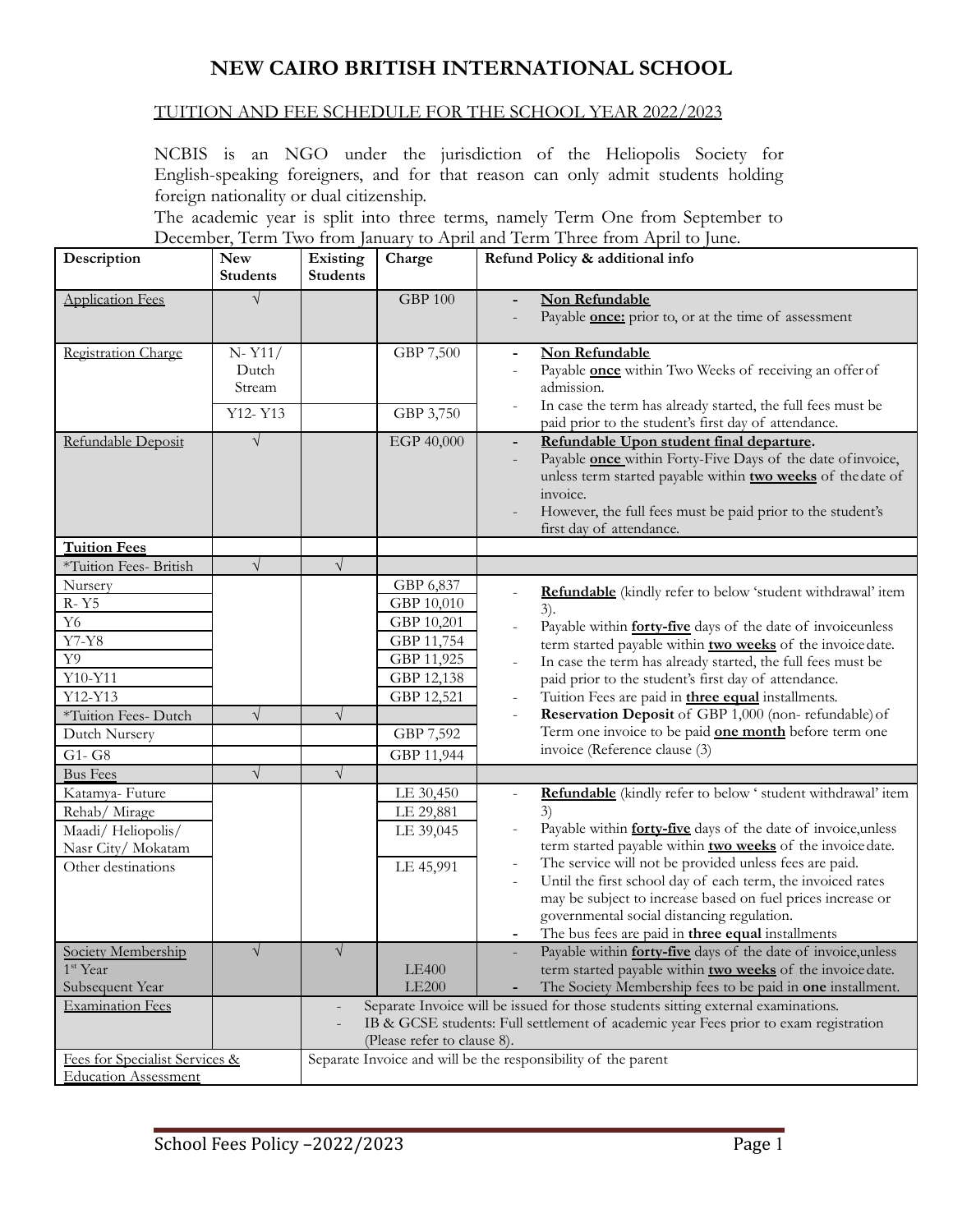# **NEW CAIRO BRITISH INTERNATIONAL SCHOOL**

#### TUITION AND FEE SCHEDULE FOR THE SCHOOL YEAR 2022/2023

NCBIS is an NGO under the jurisdiction of the Heliopolis Society for English-speaking foreigners, and for that reason can only admit students holding foreign nationality or dual citizenship.

The academic year is split into three terms, namely Term One from September to December, Term Two from January to April and Term Three from April to June.

| Description                    | <b>New</b>      | Existing                                                                                     | Charge                   | December, Term Two Hom famaly to Tepm and Term Timee Hom Tepm to func.<br>Refund Policy & additional info                         |  |  |
|--------------------------------|-----------------|----------------------------------------------------------------------------------------------|--------------------------|-----------------------------------------------------------------------------------------------------------------------------------|--|--|
|                                | <b>Students</b> | <b>Students</b>                                                                              |                          |                                                                                                                                   |  |  |
| <b>Application Fees</b>        | $\sqrt{}$       |                                                                                              | <b>GBP 100</b>           | Non Refundable                                                                                                                    |  |  |
|                                |                 |                                                                                              |                          | Payable <b>once:</b> prior to, or at the time of assessment                                                                       |  |  |
| Registration Charge            | $N - Y11/$      |                                                                                              | GBP 7,500                | Non Refundable                                                                                                                    |  |  |
|                                | Dutch           |                                                                                              |                          | Payable <b>once</b> within Two Weeks of receiving an offer of                                                                     |  |  |
|                                | Stream          |                                                                                              |                          | admission.                                                                                                                        |  |  |
|                                | Y12-Y13         |                                                                                              | GBP 3,750                | In case the term has already started, the full fees must be                                                                       |  |  |
|                                |                 |                                                                                              |                          | paid prior to the student's first day of attendance.                                                                              |  |  |
| Refundable Deposit             | $\sqrt{ }$      |                                                                                              | EGP 40,000               | Refundable Upon student final departure.<br>$\blacksquare$                                                                        |  |  |
|                                |                 |                                                                                              |                          | Payable <b>once</b> within Forty-Five Days of the date of invoice,<br>unless term started payable within two weeks of the date of |  |  |
|                                |                 |                                                                                              |                          | invoice.                                                                                                                          |  |  |
|                                |                 |                                                                                              |                          | However, the full fees must be paid prior to the student's                                                                        |  |  |
|                                |                 |                                                                                              |                          | first day of attendance.                                                                                                          |  |  |
| <b>Tuition Fees</b>            |                 |                                                                                              |                          |                                                                                                                                   |  |  |
| *Tuition Fees- British         | $\sqrt{ }$      | $\sqrt{ }$                                                                                   |                          |                                                                                                                                   |  |  |
| Nursery                        |                 |                                                                                              | GBP 6,837                | Refundable (kindly refer to below 'student withdrawal' item                                                                       |  |  |
| R-Y5                           |                 |                                                                                              | GBP 10,010               | 3).                                                                                                                               |  |  |
| ${\it Y6}$                     |                 |                                                                                              | GBP 10,201               | Payable within <b>forty-five</b> days of the date of invoiceunless                                                                |  |  |
| $\overline{Y}$ 7-Y8<br>Y9      |                 |                                                                                              | GBP 11,754               | term started payable within two weeks of the invoice date.                                                                        |  |  |
| Y10-Y11                        |                 |                                                                                              | GBP 11,925<br>GBP 12,138 | In case the term has already started, the full fees must be<br>$\overline{\phantom{a}}$                                           |  |  |
| Y12-Y13                        |                 |                                                                                              | GBP 12,521               | paid prior to the student's first day of attendance.<br>Tuition Fees are paid in <b>three equal</b> installments.                 |  |  |
| *Tuition Fees-Dutch            | $\sqrt{ }$      | $\sqrt{}$                                                                                    |                          | Reservation Deposit of GBP 1,000 (non-refundable) of                                                                              |  |  |
| Dutch Nursery                  |                 |                                                                                              | GBP 7,592                | Term one invoice to be paid <b>one month</b> before term one                                                                      |  |  |
| G1-G8                          |                 |                                                                                              | GBP 11,944               | invoice (Reference clause (3)                                                                                                     |  |  |
| <b>Bus Fees</b>                | $\sqrt{}$       | $\sqrt{}$                                                                                    |                          |                                                                                                                                   |  |  |
| Katamya-Future                 |                 |                                                                                              | LE 30,450                | Refundable (kindly refer to below ' student withdrawal' item                                                                      |  |  |
| Rehab/ Mirage                  |                 |                                                                                              | LE 29,881                | 3)                                                                                                                                |  |  |
| Maadi/Heliopolis/              |                 |                                                                                              | LE 39,045                | Payable within forty-five days of the date of invoice, unless                                                                     |  |  |
| Nasr City/Mokatam              |                 |                                                                                              |                          | term started payable within two weeks of the invoice date.                                                                        |  |  |
| Other destinations             |                 |                                                                                              | LE 45,991                | The service will not be provided unless fees are paid.<br>Until the first school day of each term, the invoiced rates             |  |  |
|                                |                 |                                                                                              |                          | may be subject to increase based on fuel prices increase or                                                                       |  |  |
|                                |                 |                                                                                              |                          | governmental social distancing regulation.                                                                                        |  |  |
|                                |                 |                                                                                              |                          | The bus fees are paid in three equal installments                                                                                 |  |  |
| Society Membership             | $\sqrt{}$       | $\sqrt{}$                                                                                    |                          | Payable within forty-five days of the date of invoice, unless                                                                     |  |  |
| 1 <sup>st</sup> Year           |                 |                                                                                              | <b>LE400</b>             | term started payable within two weeks of the invoice date.                                                                        |  |  |
| Subsequent Year                |                 |                                                                                              | <b>LE200</b>             | The Society Membership fees to be paid in one installment.                                                                        |  |  |
| <b>Examination Fees</b>        |                 | Separate Invoice will be issued for those students sitting external examinations.            |                          |                                                                                                                                   |  |  |
|                                |                 |                                                                                              |                          | IB & GCSE students: Full settlement of academic year Fees prior to exam registration                                              |  |  |
| Fees for Specialist Services & |                 | (Please refer to clause 8).<br>Separate Invoice and will be the responsibility of the parent |                          |                                                                                                                                   |  |  |
| <b>Education Assessment</b>    |                 |                                                                                              |                          |                                                                                                                                   |  |  |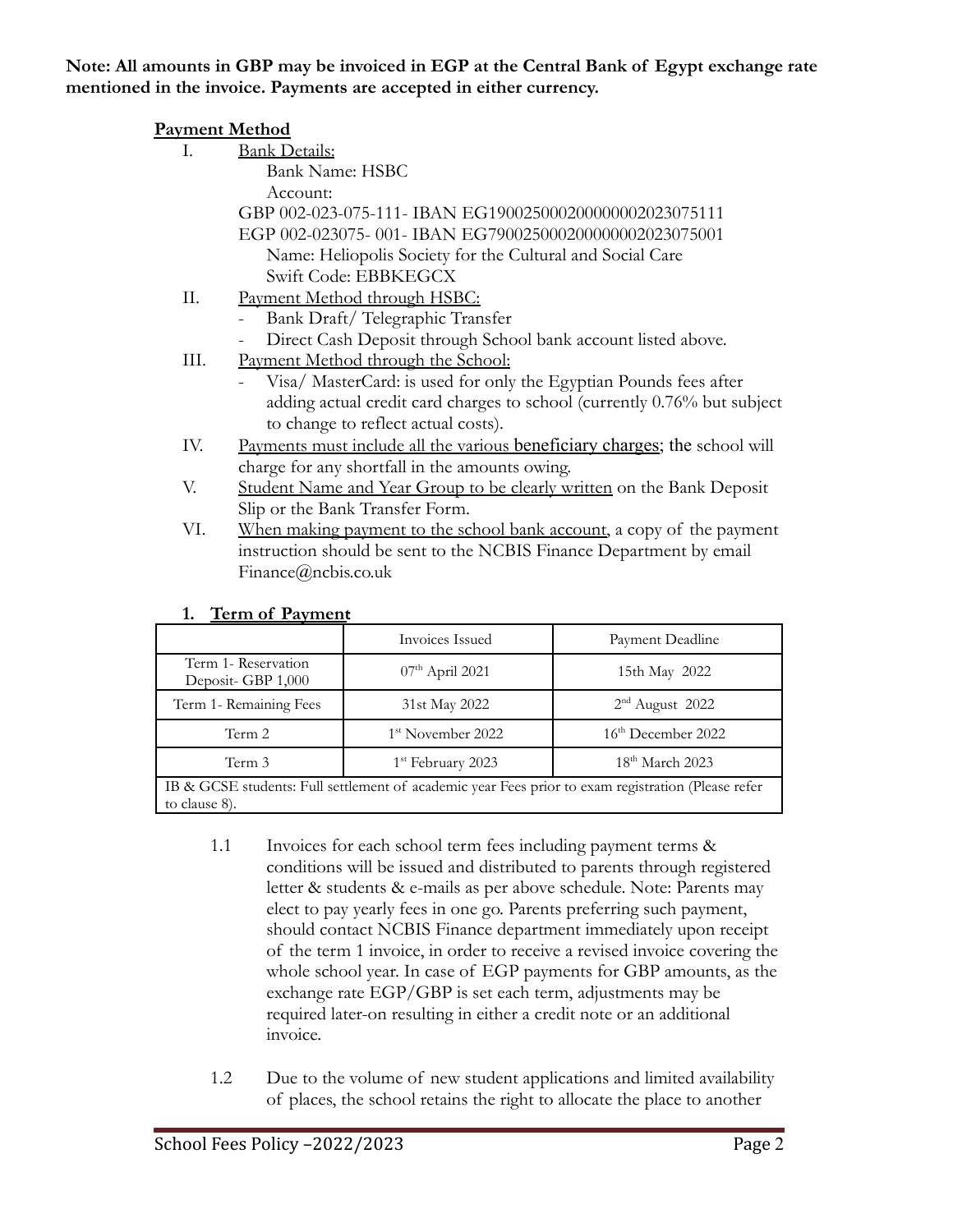#### **Note: All amounts in GBP may be invoiced in EGP at the Central Bank of Egypt exchange rate mentioned in the invoice. Payments are accepted in either currency.**

| <b>Payment Method</b> |                                                                            |  |  |  |  |
|-----------------------|----------------------------------------------------------------------------|--|--|--|--|
| Ι.                    | <b>Bank Details:</b>                                                       |  |  |  |  |
|                       | <b>Bank Name: HSBC</b>                                                     |  |  |  |  |
|                       | Account:                                                                   |  |  |  |  |
|                       | GBP 002-023-075-111- IBAN EG190025000200000002023075111                    |  |  |  |  |
|                       | EGP 002-023075-001-IBAN EG790025000200000002023075001                      |  |  |  |  |
|                       | Name: Heliopolis Society for the Cultural and Social Care                  |  |  |  |  |
|                       | Swift Code: EBBKEGCX                                                       |  |  |  |  |
| П.                    | Payment Method through HSBC:                                               |  |  |  |  |
|                       | Bank Draft/Telegraphic Transfer                                            |  |  |  |  |
|                       | Direct Cash Deposit through School bank account listed above.              |  |  |  |  |
| III.                  | Payment Method through the School:                                         |  |  |  |  |
|                       | Visa/MasterCard: is used for only the Egyptian Pounds fees after           |  |  |  |  |
|                       | adding actual credit card charges to school (currently 0.76% but subject   |  |  |  |  |
|                       | to change to reflect actual costs).                                        |  |  |  |  |
| IV.                   | Payments must include all the various beneficiary charges; the school will |  |  |  |  |
|                       | charge for any shortfall in the amounts owing.                             |  |  |  |  |
| V.                    | Student Name and Year Group to be clearly written on the Bank Deposit      |  |  |  |  |
|                       | Slip or the Bank Transfer Form.                                            |  |  |  |  |
| VI.                   | When making payment to the school bank account, a copy of the payment      |  |  |  |  |

| --<br>101110110110110                                                                              |                               |                                |  |  |  |  |
|----------------------------------------------------------------------------------------------------|-------------------------------|--------------------------------|--|--|--|--|
|                                                                                                    | Invoices Issued               | Payment Deadline               |  |  |  |  |
| Term 1- Reservation<br>Deposit-GBP 1,000                                                           | $07th$ April 2021             | 15th May 2022                  |  |  |  |  |
| Term 1- Remaining Fees                                                                             | 31st May 2022                 | $2nd$ August 2022              |  |  |  |  |
| Term 2                                                                                             | 1 <sup>st</sup> November 2022 | 16 <sup>th</sup> December 2022 |  |  |  |  |
| Term 3                                                                                             | 1 <sup>st</sup> February 2023 | $18th$ March 2023              |  |  |  |  |
| IB & GCSE students: Full settlement of academic vear Fees prior to exam registration (Please refer |                               |                                |  |  |  |  |

instruction should be sent to the NCBIS Finance Department by email

#### **1. Term of Payment**:

Finance@ncbis.co.uk

IB & GCSE students: Full settlement of academic year Fees prior to exam registration (Please refer to clause 8).

- 1.1 Invoices for each school term fees including payment terms & conditions will be issued and distributed to parents through registered letter & students & e-mails as per above schedule. Note: Parents may elect to pay yearly fees in one go. Parents preferring such payment, should contact NCBIS Finance department immediately upon receipt of the term 1 invoice, in order to receive a revised invoice covering the whole school year. In case of EGP payments for GBP amounts, as the exchange rate EGP/GBP is set each term, adjustments may be required later-on resulting in either a credit note or an additional invoice.
- 1.2 Due to the volume of new student applications and limited availability of places, the school retains the right to allocate the place to another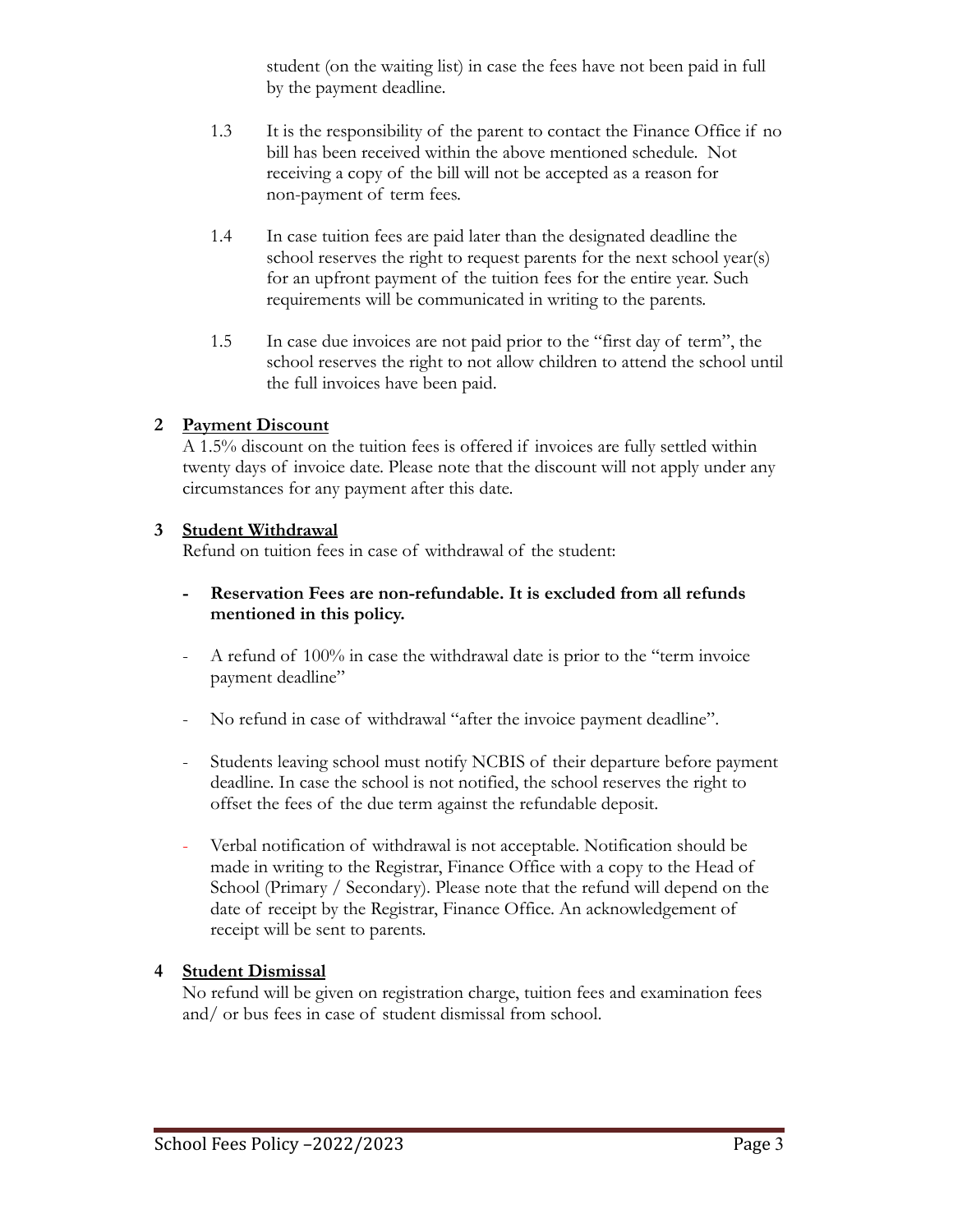student (on the waiting list) in case the fees have not been paid in full by the payment deadline.

- 1.3 It is the responsibility of the parent to contact the Finance Office if no bill has been received within the above mentioned schedule. Not receiving a copy of the bill will not be accepted as a reason for non-payment of term fees.
- 1.4 In case tuition fees are paid later than the designated deadline the school reserves the right to request parents for the next school year(s) for an upfront payment of the tuition fees for the entire year. Such requirements will be communicated in writing to the parents.
- 1.5 In case due invoices are not paid prior to the "first day of term", the school reserves the right to not allow children to attend the school until the full invoices have been paid.

#### **2 Payment Discount**

A 1.5% discount on the tuition fees is offered if invoices are fully settled within twenty days of invoice date. Please note that the discount will not apply under any circumstances for any payment after this date.

#### **3 Student Withdrawal**

Refund on tuition fees in case of withdrawal of the student:

- **- Reservation Fees are non-refundable. It is excluded from all refunds mentioned in this policy.**
- A refund of 100% in case the withdrawal date is prior to the "term invoice" payment deadline"
- No refund in case of withdrawal "after the invoice payment deadline".
- Students leaving school must notify NCBIS of their departure before payment deadline. In case the school is not notified, the school reserves the right to offset the fees of the due term against the refundable deposit.
- Verbal notification of withdrawal is not acceptable. Notification should be made in writing to the Registrar, Finance Office with a copy to the Head of School (Primary / Secondary). Please note that the refund will depend on the date of receipt by the Registrar, Finance Office. An acknowledgement of receipt will be sent to parents.

## **4 Student Dismissal**

No refund will be given on registration charge, tuition fees and examination fees and/ or bus fees in case of student dismissal from school.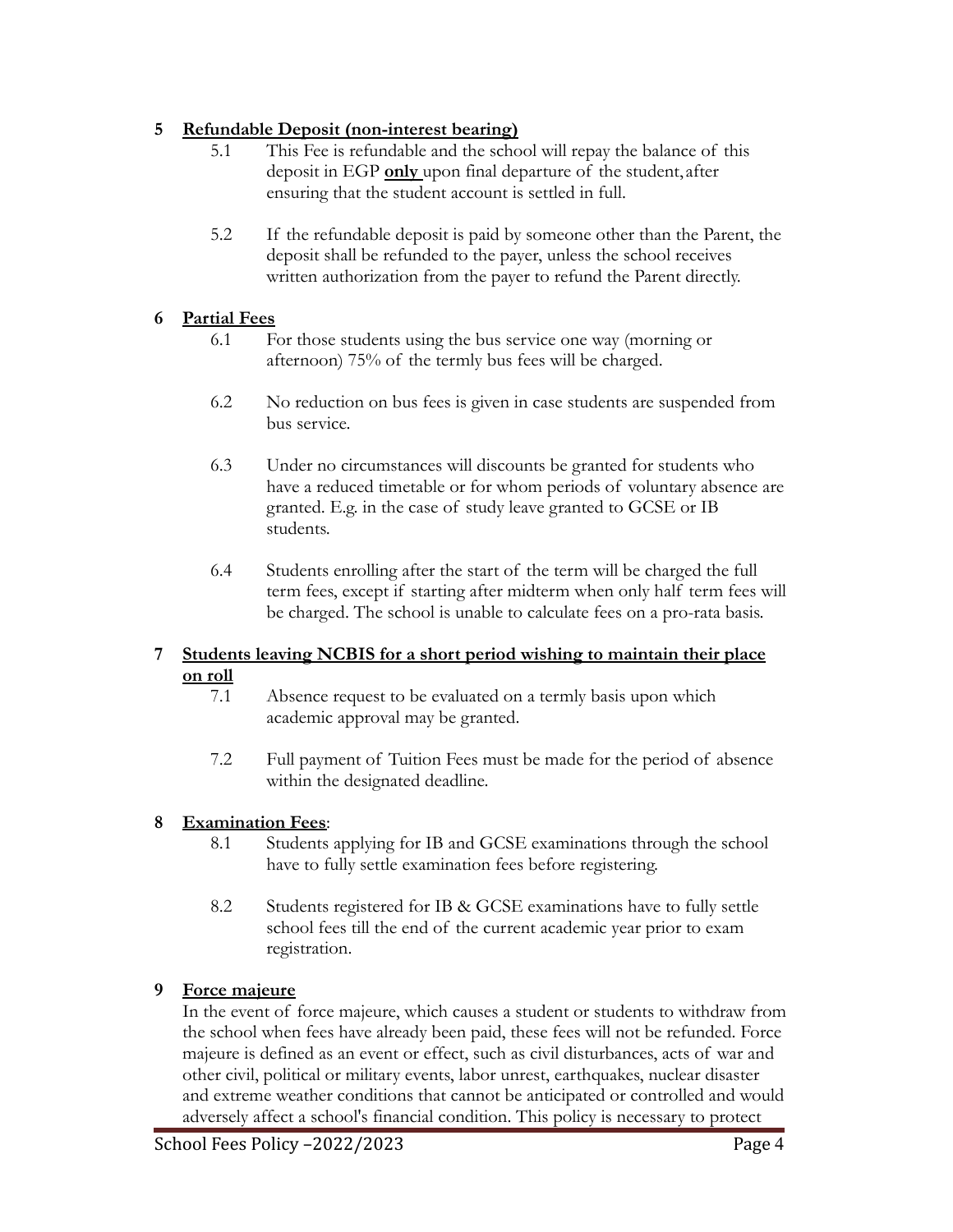### **5 Refundable Deposit (non-interest bearing)**

- 5.1 This Fee is refundable and the school will repay the balance of this deposit in EGP **only** upon final departure of the student, after ensuring that the student account is settled in full.
- 5.2 If the refundable deposit is paid by someone other than the Parent, the deposit shall be refunded to the payer, unless the school receives written authorization from the payer to refund the Parent directly.

#### **6 Partial Fees**

- 6.1 For those students using the bus service one way (morning or afternoon) 75% of the termly bus fees will be charged.
- 6.2 No reduction on bus fees is given in case students are suspended from bus service.
- 6.3 Under no circumstances will discounts be granted for students who have a reduced timetable or for whom periods of voluntary absence are granted. E.g. in the case of study leave granted to GCSE or IB students.
- 6.4 Students enrolling after the start of the term will be charged the full term fees, except if starting after midterm when only half term fees will be charged. The school is unable to calculate fees on a pro-rata basis.

#### **7 Students leaving NCBIS for a short period wishing to maintain their place on roll**

- 7.1 Absence request to be evaluated on a termly basis upon which academic approval may be granted.
- 7.2 Full payment of Tuition Fees must be made for the period of absence within the designated deadline.

## **8 Examination Fees**:

- 8.1 Students applying for IB and GCSE examinations through the school have to fully settle examination fees before registering.
- 8.2 Students registered for IB & GCSE examinations have to fully settle school fees till the end of the current academic year prior to exam registration.

## **9 Force majeure**

In the event of force majeure, which causes a student or students to withdraw from the school when fees have already been paid, these fees will not be refunded. Force majeure is defined as an event or effect, such as civil disturbances, acts of war and other civil, political or military events, labor unrest, earthquakes, nuclear disaster and extreme weather conditions that cannot be anticipated or controlled and would adversely affect a school's financial condition. This policy is necessary to protect